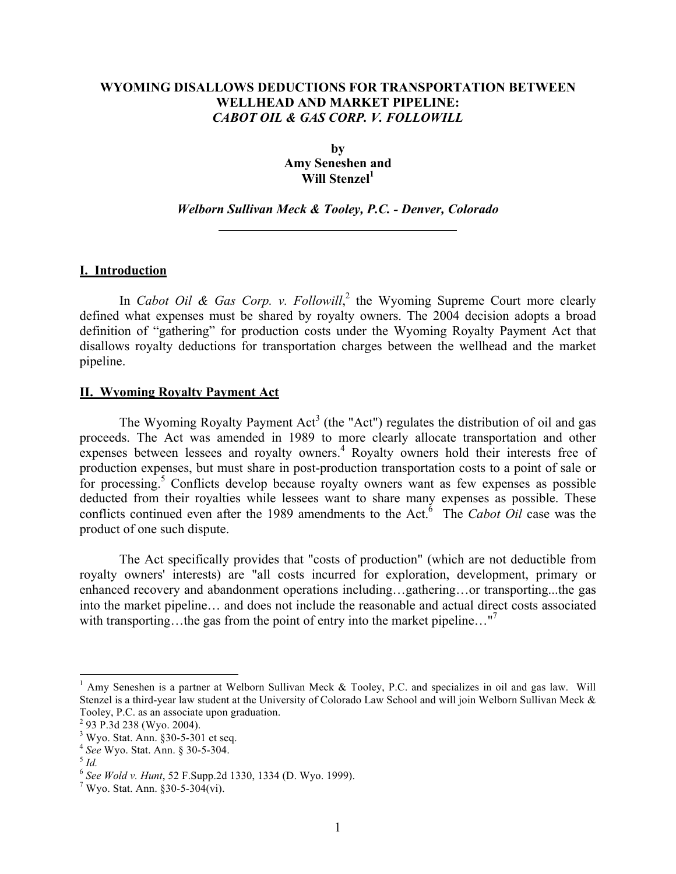# **WYOMING DISALLOWS DEDUCTIONS FOR TRANSPORTATION BETWEEN WELLHEAD AND MARKET PIPELINE:**  *CABOT OIL & GAS CORP. V. FOLLOWILL*

**by Amy Seneshen and** Will Stenzel<sup>1</sup>

## *Welborn Sullivan Meck & Tooley, P.C. - Denver, Colorado*

### **I. Introduction**

In *Cabot Oil & Gas Corp. v. Followill*,<sup>2</sup> the Wyoming Supreme Court more clearly defined what expenses must be shared by royalty owners. The 2004 decision adopts a broad definition of "gathering" for production costs under the Wyoming Royalty Payment Act that disallows royalty deductions for transportation charges between the wellhead and the market pipeline.

#### **II. Wyoming Royalty Payment Act**

The Wyoming Royalty Payment  $Act^3$  (the "Act") regulates the distribution of oil and gas proceeds. The Act was amended in 1989 to more clearly allocate transportation and other expenses between lessees and royalty owners.<sup>4</sup> Royalty owners hold their interests free of production expenses, but must share in post-production transportation costs to a point of sale or for processing.<sup>5</sup> Conflicts develop because royalty owners want as few expenses as possible deducted from their royalties while lessees want to share many expenses as possible. These conflicts continued even after the 1989 amendments to the Act.<sup> $\delta$ </sup> The *Cabot Oil* case was the product of one such dispute.

The Act specifically provides that "costs of production" (which are not deductible from royalty owners' interests) are "all costs incurred for exploration, development, primary or enhanced recovery and abandonment operations including…gathering…or transporting...the gas into the market pipeline… and does not include the reasonable and actual direct costs associated with transporting...the gas from the point of entry into the market pipeline..."<sup>7</sup>

 $\frac{1}{1}$  $^1$  Amy Seneshen is a partner at Welborn Sullivan Meck & Tooley, P.C. and specializes in oil and gas law. Will Stenzel is a third-year law student at the University of Colorado Law School and will join Welborn Sullivan Meck & Tooley, P.C. as an associate upon graduation.

<sup>&</sup>lt;sup>2</sup> 93 P.3d 238 (Wyo. 2004).

 $3$  Wyo. Stat. Ann. §30-5-301 et seq.

<sup>&</sup>lt;sup>4</sup> See Wyo. Stat. Ann. § 30-5-304. 5 *Id.* 

<sup>6</sup> *See Wold v. Hunt*, 52 F.Supp.2d 1330, 1334 (D. Wyo. 1999). <sup>7</sup>

 $7$  Wyo. Stat. Ann. §30-5-304(vi).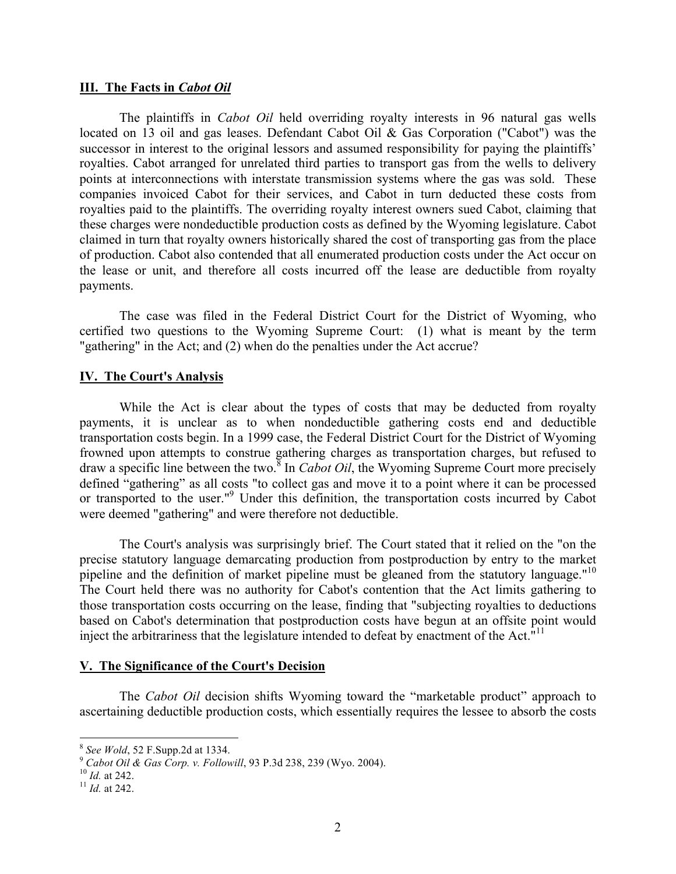### **III. The Facts in** *Cabot Oil*

The plaintiffs in *Cabot Oil* held overriding royalty interests in 96 natural gas wells located on 13 oil and gas leases. Defendant Cabot Oil & Gas Corporation ("Cabot") was the successor in interest to the original lessors and assumed responsibility for paying the plaintiffs' royalties. Cabot arranged for unrelated third parties to transport gas from the wells to delivery points at interconnections with interstate transmission systems where the gas was sold. These companies invoiced Cabot for their services, and Cabot in turn deducted these costs from royalties paid to the plaintiffs. The overriding royalty interest owners sued Cabot, claiming that these charges were nondeductible production costs as defined by the Wyoming legislature. Cabot claimed in turn that royalty owners historically shared the cost of transporting gas from the place of production. Cabot also contended that all enumerated production costs under the Act occur on the lease or unit, and therefore all costs incurred off the lease are deductible from royalty payments.

The case was filed in the Federal District Court for the District of Wyoming, who certified two questions to the Wyoming Supreme Court: (1) what is meant by the term "gathering" in the Act; and (2) when do the penalties under the Act accrue?

### **IV. The Court's Analysis**

While the Act is clear about the types of costs that may be deducted from royalty payments, it is unclear as to when nondeductible gathering costs end and deductible transportation costs begin. In a 1999 case, the Federal District Court for the District of Wyoming frowned upon attempts to construe gathering charges as transportation charges, but refused to draw a specific line between the two.<sup>8</sup> In *Cabot Oil*, the Wyoming Supreme Court more precisely defined "gathering" as all costs "to collect gas and move it to a point where it can be processed or transported to the user."<sup>9</sup> Under this definition, the transportation costs incurred by Cabot were deemed "gathering" and were therefore not deductible.

The Court's analysis was surprisingly brief. The Court stated that it relied on the "on the precise statutory language demarcating production from postproduction by entry to the market pipeline and the definition of market pipeline must be gleaned from the statutory language."<sup>10</sup> The Court held there was no authority for Cabot's contention that the Act limits gathering to those transportation costs occurring on the lease, finding that "subjecting royalties to deductions based on Cabot's determination that postproduction costs have begun at an offsite point would inject the arbitrariness that the legislature intended to defeat by enactment of the Act." $\rm^{11}$ 

#### **V. The Significance of the Court's Decision**

The *Cabot Oil* decision shifts Wyoming toward the "marketable product" approach to ascertaining deductible production costs, which essentially requires the lessee to absorb the costs

<sup>&</sup>lt;sup>8</sup> *See Wold*, 52 F.Supp.2d at 1334.<br><sup>9</sup> *Cabot Oil & Gas Corp. v. Followill*, 93 P.3d 238, 239 (Wyo. 2004).<br><sup>10</sup> *Id.* at 242.<br><sup>11</sup> *Id.* at 242.